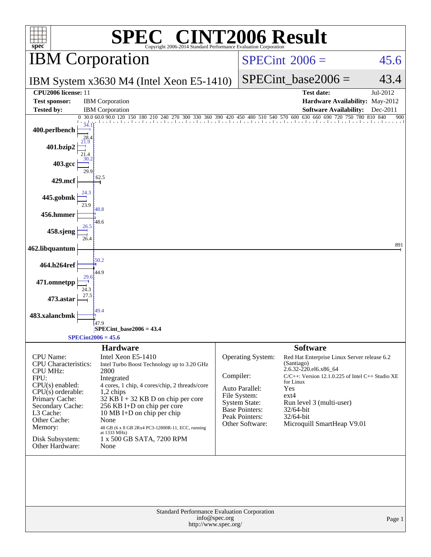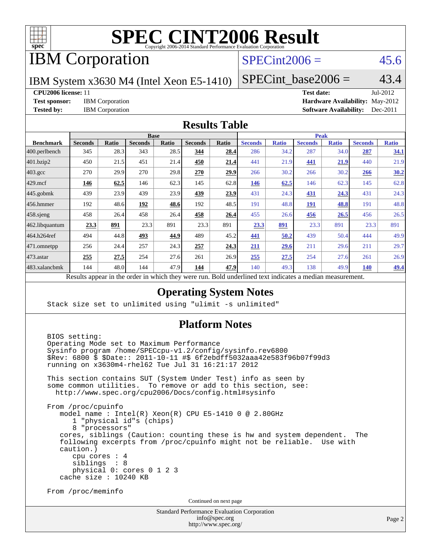

# IBM Corporation

## $SPECint2006 = 45.6$  $SPECint2006 = 45.6$

IBM System x3630 M4 (Intel Xeon E5-1410)

 $SPECTnt\_base2006 = 43.4$ 

#### **[CPU2006 license:](http://www.spec.org/auto/cpu2006/Docs/result-fields.html#CPU2006license)** 11 **[Test date:](http://www.spec.org/auto/cpu2006/Docs/result-fields.html#Testdate)** Jul-2012

**[Test sponsor:](http://www.spec.org/auto/cpu2006/Docs/result-fields.html#Testsponsor)** IBM Corporation **[Hardware Availability:](http://www.spec.org/auto/cpu2006/Docs/result-fields.html#HardwareAvailability)** May-2012

**[Tested by:](http://www.spec.org/auto/cpu2006/Docs/result-fields.html#Testedby)** IBM Corporation **[Software Availability:](http://www.spec.org/auto/cpu2006/Docs/result-fields.html#SoftwareAvailability)** Dec-2011

#### **[Results Table](http://www.spec.org/auto/cpu2006/Docs/result-fields.html#ResultsTable)**

| <b>Base</b>    |              |                |       |                |       | <b>Peak</b>    |              |                |              |                |              |
|----------------|--------------|----------------|-------|----------------|-------|----------------|--------------|----------------|--------------|----------------|--------------|
| <b>Seconds</b> | <b>Ratio</b> | <b>Seconds</b> | Ratio | <b>Seconds</b> | Ratio | <b>Seconds</b> | <b>Ratio</b> | <b>Seconds</b> | <b>Ratio</b> | <b>Seconds</b> | <b>Ratio</b> |
| 345            | 28.3         | 343            | 28.5  | 344            | 28.4  | 286            | 34.2         | 287            | 34.0         | 287            | 34.1         |
| 450            | 21.5         | 451            | 21.4  | 450            | 21.4  | 441            | 21.9         | 441            | <u>21.9</u>  | 440            | 21.9         |
| 270            | 29.9         | 270            |       | 270            | 29.9  | 266            | 30.2         | 266            | 30.2         | 266            | 30.2         |
| 146            | 62.5         | 146            | 62.3  | 145            | 62.8  | 146            | 62.5         | 146            | 62.3         | 145            | 62.8         |
| 439            | 23.9         | 439            | 23.9  | 439            | 23.9  | 431            | 24.3         | 431            | 24.3         | 431            | 24.3         |
| 192            | 48.6         | 192            | 48.6  | 192            | 48.5  | 191            | 48.8         | <b>191</b>     | 48.8         | 191            | 48.8         |
| 458            | 26.4         | 458            | 26.4  | 458            | 26.4  | 455            | 26.6         | <u>456</u>     | 26.5         | 456            | 26.5         |
| 23.3           | 891          | 23.3           | 891   | 23.3           | 891   | 23.3           | <u>891</u>   | 23.3           | 891          | 23.3           | 891          |
| 494            | 44.8         | 493            | 44.9  | 489            | 45.2  | 441            | 50.2         | 439            | 50.4         | 444            | 49.9         |
| 256            | 24.4         | 257            | 24.3  | 257            | 24.3  | 211            | 29.6         | 211            | 29.6         | 211            | 29.7         |
| 255            | 27.5         | 254            | 27.6  | 261            | 26.9  | 255            | 27.5         | 254            | 27.6         | 261            | 26.9         |
| 144            | 48.0         | 144            | 47.9  | <u>144</u>     | 47.9  | 140            | 49.3         | 138            | 49.9         | <u>140</u>     | <u>49.4</u>  |
|                |              |                |       |                | 29.8  |                |              |                |              |                |              |

Results appear in the [order in which they were run.](http://www.spec.org/auto/cpu2006/Docs/result-fields.html#RunOrder) Bold underlined text [indicates a median measurement.](http://www.spec.org/auto/cpu2006/Docs/result-fields.html#Median)

### **[Operating System Notes](http://www.spec.org/auto/cpu2006/Docs/result-fields.html#OperatingSystemNotes)**

Stack size set to unlimited using "ulimit -s unlimited"

### **[Platform Notes](http://www.spec.org/auto/cpu2006/Docs/result-fields.html#PlatformNotes)**

 BIOS setting: Operating Mode set to Maximum Performance Sysinfo program /home/SPECcpu-v1.2/config/sysinfo.rev6800 \$Rev: 6800 \$ \$Date:: 2011-10-11 #\$ 6f2ebdff5032aaa42e583f96b07f99d3 running on x3630m4-rhel62 Tue Jul 31 16:21:17 2012 This section contains SUT (System Under Test) info as seen by some common utilities. To remove or add to this section, see: <http://www.spec.org/cpu2006/Docs/config.html#sysinfo> From /proc/cpuinfo model name : Intel(R) Xeon(R) CPU E5-1410 0 @ 2.80GHz 1 "physical id"s (chips) 8 "processors" cores, siblings (Caution: counting these is hw and system dependent. The following excerpts from /proc/cpuinfo might not be reliable. Use with caution.) cpu cores : 4 siblings : 8 physical 0: cores 0 1 2 3 cache size : 10240 KB From /proc/meminfo Continued on next page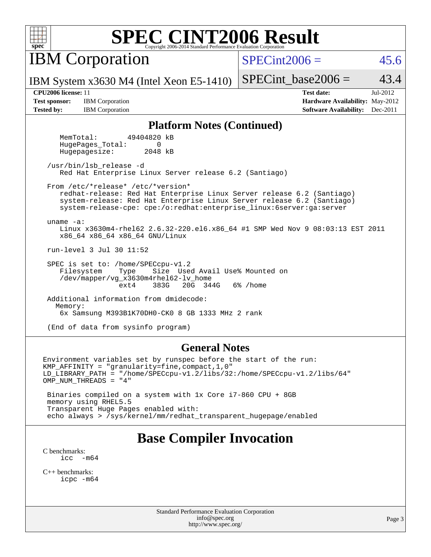

IBM Corporation

 $SPECint2006 = 45.6$  $SPECint2006 = 45.6$ 

IBM System x3630 M4 (Intel Xeon E5-1410)

SPECint base2006 =  $43.4$ 

**[Test sponsor:](http://www.spec.org/auto/cpu2006/Docs/result-fields.html#Testsponsor)** IBM Corporation **[Hardware Availability:](http://www.spec.org/auto/cpu2006/Docs/result-fields.html#HardwareAvailability)** May-2012 **[Tested by:](http://www.spec.org/auto/cpu2006/Docs/result-fields.html#Testedby)** IBM Corporation **[Software Availability:](http://www.spec.org/auto/cpu2006/Docs/result-fields.html#SoftwareAvailability)** Dec-2011

**[CPU2006 license:](http://www.spec.org/auto/cpu2006/Docs/result-fields.html#CPU2006license)** 11 **[Test date:](http://www.spec.org/auto/cpu2006/Docs/result-fields.html#Testdate)** Jul-2012

#### **[Platform Notes \(Continued\)](http://www.spec.org/auto/cpu2006/Docs/result-fields.html#PlatformNotes)**

 MemTotal: 49404820 kB HugePages Total: 0 Hugepagesize: 2048 kB

 /usr/bin/lsb\_release -d Red Hat Enterprise Linux Server release 6.2 (Santiago)

From /etc/\*release\* /etc/\*version\*

 redhat-release: Red Hat Enterprise Linux Server release 6.2 (Santiago) system-release: Red Hat Enterprise Linux Server release 6.2 (Santiago) system-release-cpe: cpe:/o:redhat:enterprise\_linux:6server:ga:server

uname -a:

 Linux x3630m4-rhel62 2.6.32-220.el6.x86\_64 #1 SMP Wed Nov 9 08:03:13 EST 2011 x86\_64 x86\_64 x86\_64 GNU/Linux

run-level 3 Jul 30 11:52

SPEC is set to: /home/SPECcpu-v1.2<br>Filesystem Type Size Use Size Used Avail Use% Mounted on /dev/mapper/vg\_x3630m4rhel62-lv\_home ext4 383G 20G 344G 6% /home

 Additional information from dmidecode: Memory: 6x Samsung M393B1K70DH0-CK0 8 GB 1333 MHz 2 rank

(End of data from sysinfo program)

#### **[General Notes](http://www.spec.org/auto/cpu2006/Docs/result-fields.html#GeneralNotes)**

Environment variables set by runspec before the start of the run: KMP\_AFFINITY = "granularity=fine,compact,1,0" LD\_LIBRARY\_PATH = "/home/SPECcpu-v1.2/libs/32:/home/SPECcpu-v1.2/libs/64" OMP\_NUM\_THREADS = "4" Binaries compiled on a system with 1x Core i7-860 CPU + 8GB memory using RHEL5.5 Transparent Huge Pages enabled with:

echo always > /sys/kernel/mm/redhat\_transparent\_hugepage/enabled

# **[Base Compiler Invocation](http://www.spec.org/auto/cpu2006/Docs/result-fields.html#BaseCompilerInvocation)**

[C benchmarks](http://www.spec.org/auto/cpu2006/Docs/result-fields.html#Cbenchmarks): icc  $-m64$ 

[C++ benchmarks:](http://www.spec.org/auto/cpu2006/Docs/result-fields.html#CXXbenchmarks) [icpc -m64](http://www.spec.org/cpu2006/results/res2012q3/cpu2006-20120806-24067.flags.html#user_CXXbase_intel_icpc_64bit_fc66a5337ce925472a5c54ad6a0de310)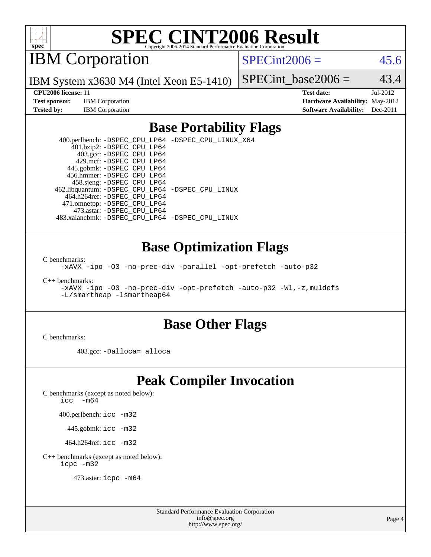

IBM Corporation

 $SPECint2006 = 45.6$  $SPECint2006 = 45.6$ 

IBM System x3630 M4 (Intel Xeon E5-1410)

**[Test sponsor:](http://www.spec.org/auto/cpu2006/Docs/result-fields.html#Testsponsor)** IBM Corporation **[Hardware Availability:](http://www.spec.org/auto/cpu2006/Docs/result-fields.html#HardwareAvailability)** May-2012 **[Tested by:](http://www.spec.org/auto/cpu2006/Docs/result-fields.html#Testedby)** IBM Corporation **[Software Availability:](http://www.spec.org/auto/cpu2006/Docs/result-fields.html#SoftwareAvailability)** Dec-2011

SPECint base2006 =  $43.4$ **[CPU2006 license:](http://www.spec.org/auto/cpu2006/Docs/result-fields.html#CPU2006license)** 11 **[Test date:](http://www.spec.org/auto/cpu2006/Docs/result-fields.html#Testdate)** Jul-2012

## **[Base Portability Flags](http://www.spec.org/auto/cpu2006/Docs/result-fields.html#BasePortabilityFlags)**

 400.perlbench: [-DSPEC\\_CPU\\_LP64](http://www.spec.org/cpu2006/results/res2012q3/cpu2006-20120806-24067.flags.html#b400.perlbench_basePORTABILITY_DSPEC_CPU_LP64) [-DSPEC\\_CPU\\_LINUX\\_X64](http://www.spec.org/cpu2006/results/res2012q3/cpu2006-20120806-24067.flags.html#b400.perlbench_baseCPORTABILITY_DSPEC_CPU_LINUX_X64) 401.bzip2: [-DSPEC\\_CPU\\_LP64](http://www.spec.org/cpu2006/results/res2012q3/cpu2006-20120806-24067.flags.html#suite_basePORTABILITY401_bzip2_DSPEC_CPU_LP64) 403.gcc: [-DSPEC\\_CPU\\_LP64](http://www.spec.org/cpu2006/results/res2012q3/cpu2006-20120806-24067.flags.html#suite_basePORTABILITY403_gcc_DSPEC_CPU_LP64) 429.mcf: [-DSPEC\\_CPU\\_LP64](http://www.spec.org/cpu2006/results/res2012q3/cpu2006-20120806-24067.flags.html#suite_basePORTABILITY429_mcf_DSPEC_CPU_LP64) 445.gobmk: [-DSPEC\\_CPU\\_LP64](http://www.spec.org/cpu2006/results/res2012q3/cpu2006-20120806-24067.flags.html#suite_basePORTABILITY445_gobmk_DSPEC_CPU_LP64) 456.hmmer: [-DSPEC\\_CPU\\_LP64](http://www.spec.org/cpu2006/results/res2012q3/cpu2006-20120806-24067.flags.html#suite_basePORTABILITY456_hmmer_DSPEC_CPU_LP64) 458.sjeng: [-DSPEC\\_CPU\\_LP64](http://www.spec.org/cpu2006/results/res2012q3/cpu2006-20120806-24067.flags.html#suite_basePORTABILITY458_sjeng_DSPEC_CPU_LP64) 462.libquantum: [-DSPEC\\_CPU\\_LP64](http://www.spec.org/cpu2006/results/res2012q3/cpu2006-20120806-24067.flags.html#suite_basePORTABILITY462_libquantum_DSPEC_CPU_LP64) [-DSPEC\\_CPU\\_LINUX](http://www.spec.org/cpu2006/results/res2012q3/cpu2006-20120806-24067.flags.html#b462.libquantum_baseCPORTABILITY_DSPEC_CPU_LINUX) 464.h264ref: [-DSPEC\\_CPU\\_LP64](http://www.spec.org/cpu2006/results/res2012q3/cpu2006-20120806-24067.flags.html#suite_basePORTABILITY464_h264ref_DSPEC_CPU_LP64) 471.omnetpp: [-DSPEC\\_CPU\\_LP64](http://www.spec.org/cpu2006/results/res2012q3/cpu2006-20120806-24067.flags.html#suite_basePORTABILITY471_omnetpp_DSPEC_CPU_LP64) 473.astar: [-DSPEC\\_CPU\\_LP64](http://www.spec.org/cpu2006/results/res2012q3/cpu2006-20120806-24067.flags.html#suite_basePORTABILITY473_astar_DSPEC_CPU_LP64) 483.xalancbmk: [-DSPEC\\_CPU\\_LP64](http://www.spec.org/cpu2006/results/res2012q3/cpu2006-20120806-24067.flags.html#suite_basePORTABILITY483_xalancbmk_DSPEC_CPU_LP64) [-DSPEC\\_CPU\\_LINUX](http://www.spec.org/cpu2006/results/res2012q3/cpu2006-20120806-24067.flags.html#b483.xalancbmk_baseCXXPORTABILITY_DSPEC_CPU_LINUX)

### **[Base Optimization Flags](http://www.spec.org/auto/cpu2006/Docs/result-fields.html#BaseOptimizationFlags)**

[C benchmarks](http://www.spec.org/auto/cpu2006/Docs/result-fields.html#Cbenchmarks):

[-xAVX](http://www.spec.org/cpu2006/results/res2012q3/cpu2006-20120806-24067.flags.html#user_CCbase_f-xAVX) [-ipo](http://www.spec.org/cpu2006/results/res2012q3/cpu2006-20120806-24067.flags.html#user_CCbase_f-ipo) [-O3](http://www.spec.org/cpu2006/results/res2012q3/cpu2006-20120806-24067.flags.html#user_CCbase_f-O3) [-no-prec-div](http://www.spec.org/cpu2006/results/res2012q3/cpu2006-20120806-24067.flags.html#user_CCbase_f-no-prec-div) [-parallel](http://www.spec.org/cpu2006/results/res2012q3/cpu2006-20120806-24067.flags.html#user_CCbase_f-parallel) [-opt-prefetch](http://www.spec.org/cpu2006/results/res2012q3/cpu2006-20120806-24067.flags.html#user_CCbase_f-opt-prefetch) [-auto-p32](http://www.spec.org/cpu2006/results/res2012q3/cpu2006-20120806-24067.flags.html#user_CCbase_f-auto-p32)

[C++ benchmarks:](http://www.spec.org/auto/cpu2006/Docs/result-fields.html#CXXbenchmarks)

[-xAVX](http://www.spec.org/cpu2006/results/res2012q3/cpu2006-20120806-24067.flags.html#user_CXXbase_f-xAVX) [-ipo](http://www.spec.org/cpu2006/results/res2012q3/cpu2006-20120806-24067.flags.html#user_CXXbase_f-ipo) [-O3](http://www.spec.org/cpu2006/results/res2012q3/cpu2006-20120806-24067.flags.html#user_CXXbase_f-O3) [-no-prec-div](http://www.spec.org/cpu2006/results/res2012q3/cpu2006-20120806-24067.flags.html#user_CXXbase_f-no-prec-div) [-opt-prefetch](http://www.spec.org/cpu2006/results/res2012q3/cpu2006-20120806-24067.flags.html#user_CXXbase_f-opt-prefetch) [-auto-p32](http://www.spec.org/cpu2006/results/res2012q3/cpu2006-20120806-24067.flags.html#user_CXXbase_f-auto-p32) [-Wl,-z,muldefs](http://www.spec.org/cpu2006/results/res2012q3/cpu2006-20120806-24067.flags.html#user_CXXbase_link_force_multiple1_74079c344b956b9658436fd1b6dd3a8a) [-L/smartheap -lsmartheap64](http://www.spec.org/cpu2006/results/res2012q3/cpu2006-20120806-24067.flags.html#user_CXXbase_SmartHeap64_5e654037dadeae1fe403ab4b4466e60b)

### **[Base Other Flags](http://www.spec.org/auto/cpu2006/Docs/result-fields.html#BaseOtherFlags)**

[C benchmarks](http://www.spec.org/auto/cpu2006/Docs/result-fields.html#Cbenchmarks):

403.gcc: [-Dalloca=\\_alloca](http://www.spec.org/cpu2006/results/res2012q3/cpu2006-20120806-24067.flags.html#b403.gcc_baseEXTRA_CFLAGS_Dalloca_be3056838c12de2578596ca5467af7f3)

# **[Peak Compiler Invocation](http://www.spec.org/auto/cpu2006/Docs/result-fields.html#PeakCompilerInvocation)**

[C benchmarks \(except as noted below\)](http://www.spec.org/auto/cpu2006/Docs/result-fields.html#Cbenchmarksexceptasnotedbelow):

[icc -m64](http://www.spec.org/cpu2006/results/res2012q3/cpu2006-20120806-24067.flags.html#user_CCpeak_intel_icc_64bit_f346026e86af2a669e726fe758c88044)

400.perlbench: [icc -m32](http://www.spec.org/cpu2006/results/res2012q3/cpu2006-20120806-24067.flags.html#user_peakCCLD400_perlbench_intel_icc_a6a621f8d50482236b970c6ac5f55f93)

445.gobmk: [icc -m32](http://www.spec.org/cpu2006/results/res2012q3/cpu2006-20120806-24067.flags.html#user_peakCCLD445_gobmk_intel_icc_a6a621f8d50482236b970c6ac5f55f93)

464.h264ref: [icc -m32](http://www.spec.org/cpu2006/results/res2012q3/cpu2006-20120806-24067.flags.html#user_peakCCLD464_h264ref_intel_icc_a6a621f8d50482236b970c6ac5f55f93)

[C++ benchmarks \(except as noted below\):](http://www.spec.org/auto/cpu2006/Docs/result-fields.html#CXXbenchmarksexceptasnotedbelow) [icpc -m32](http://www.spec.org/cpu2006/results/res2012q3/cpu2006-20120806-24067.flags.html#user_CXXpeak_intel_icpc_4e5a5ef1a53fd332b3c49e69c3330699)

473.astar: [icpc -m64](http://www.spec.org/cpu2006/results/res2012q3/cpu2006-20120806-24067.flags.html#user_peakCXXLD473_astar_intel_icpc_64bit_fc66a5337ce925472a5c54ad6a0de310)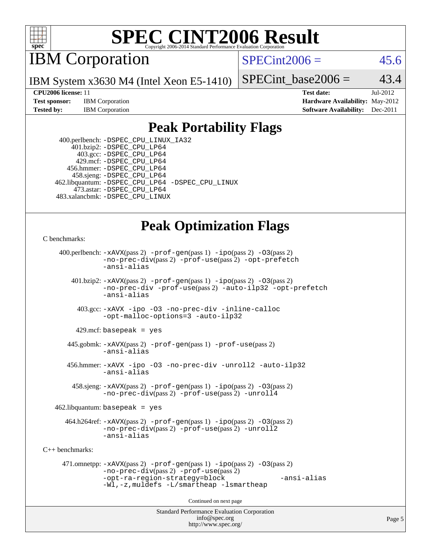

IBM Corporation

 $SPECint2006 = 45.6$  $SPECint2006 = 45.6$ 

IBM System x3630 M4 (Intel Xeon E5-1410)

SPECint base2006 =  $43.4$ 

**[Test sponsor:](http://www.spec.org/auto/cpu2006/Docs/result-fields.html#Testsponsor)** IBM Corporation **[Hardware Availability:](http://www.spec.org/auto/cpu2006/Docs/result-fields.html#HardwareAvailability)** May-2012

**[CPU2006 license:](http://www.spec.org/auto/cpu2006/Docs/result-fields.html#CPU2006license)** 11 **[Test date:](http://www.spec.org/auto/cpu2006/Docs/result-fields.html#Testdate)** Jul-2012 **[Tested by:](http://www.spec.org/auto/cpu2006/Docs/result-fields.html#Testedby)** IBM Corporation **[Software Availability:](http://www.spec.org/auto/cpu2006/Docs/result-fields.html#SoftwareAvailability)** Dec-2011

### **[Peak Portability Flags](http://www.spec.org/auto/cpu2006/Docs/result-fields.html#PeakPortabilityFlags)**

 400.perlbench: [-DSPEC\\_CPU\\_LINUX\\_IA32](http://www.spec.org/cpu2006/results/res2012q3/cpu2006-20120806-24067.flags.html#b400.perlbench_peakCPORTABILITY_DSPEC_CPU_LINUX_IA32) 401.bzip2: [-DSPEC\\_CPU\\_LP64](http://www.spec.org/cpu2006/results/res2012q3/cpu2006-20120806-24067.flags.html#suite_peakPORTABILITY401_bzip2_DSPEC_CPU_LP64) 403.gcc: [-DSPEC\\_CPU\\_LP64](http://www.spec.org/cpu2006/results/res2012q3/cpu2006-20120806-24067.flags.html#suite_peakPORTABILITY403_gcc_DSPEC_CPU_LP64) 429.mcf: [-DSPEC\\_CPU\\_LP64](http://www.spec.org/cpu2006/results/res2012q3/cpu2006-20120806-24067.flags.html#suite_peakPORTABILITY429_mcf_DSPEC_CPU_LP64) 456.hmmer: [-DSPEC\\_CPU\\_LP64](http://www.spec.org/cpu2006/results/res2012q3/cpu2006-20120806-24067.flags.html#suite_peakPORTABILITY456_hmmer_DSPEC_CPU_LP64) 458.sjeng: [-DSPEC\\_CPU\\_LP64](http://www.spec.org/cpu2006/results/res2012q3/cpu2006-20120806-24067.flags.html#suite_peakPORTABILITY458_sjeng_DSPEC_CPU_LP64) 462.libquantum: [-DSPEC\\_CPU\\_LP64](http://www.spec.org/cpu2006/results/res2012q3/cpu2006-20120806-24067.flags.html#suite_peakPORTABILITY462_libquantum_DSPEC_CPU_LP64) [-DSPEC\\_CPU\\_LINUX](http://www.spec.org/cpu2006/results/res2012q3/cpu2006-20120806-24067.flags.html#b462.libquantum_peakCPORTABILITY_DSPEC_CPU_LINUX) 473.astar: [-DSPEC\\_CPU\\_LP64](http://www.spec.org/cpu2006/results/res2012q3/cpu2006-20120806-24067.flags.html#suite_peakPORTABILITY473_astar_DSPEC_CPU_LP64) 483.xalancbmk: [-DSPEC\\_CPU\\_LINUX](http://www.spec.org/cpu2006/results/res2012q3/cpu2006-20120806-24067.flags.html#b483.xalancbmk_peakCXXPORTABILITY_DSPEC_CPU_LINUX)

# **[Peak Optimization Flags](http://www.spec.org/auto/cpu2006/Docs/result-fields.html#PeakOptimizationFlags)**

[C benchmarks](http://www.spec.org/auto/cpu2006/Docs/result-fields.html#Cbenchmarks):

```
Standard Performance Evaluation Corporation
                                          info@spec.org
     400.perlbench: -xAVX(pass 2) -prof-gen(pass 1) -ipo(pass 2) -O3(pass 2)
                -no-prec-div(pass 2) -prof-use(pass 2) -opt-prefetch
                -ansi-alias
        401.bzip2: -xAVX(pass 2) -prof-gen(pass 1) -ipo(pass 2) -O3(pass 2)
                -no-prec-div -prof-use(pass 2) -auto-ilp32 -opt-prefetch
                -ansi-alias
          403.gcc: -xAVX -ipo -O3 -no-prec-div -inline-calloc
                -opt-malloc-options=3 -auto-ilp32
         429.mcf: basepeak = yes
       445.gobmk: -xAVX(pass 2) -prof-gen(pass 1) -prof-use(pass 2)
                -ansi-alias
       456.hmmer: -xAVX -ipo -O3 -no-prec-div -unroll2 -auto-ilp32
                -ansi-alias
         458.sjeng: -xAVX(pass 2) -prof-gen(pass 1) -ipo(pass 2) -O3(pass 2)
                -no-prec-div(pass 2) -prof-use(pass 2) -unroll4
    462.libquantum: basepeak = yes
       464.h264ref: -xAVX(pass 2) -prof-gen(pass 1) -ipo(pass 2) -O3(pass 2)
                -no-prec-div(pass 2) -prof-use(pass 2) -unroll2
                -ansi-alias
C++ benchmarks: 
      471.omnetpp: -xAVX(pass 2) -prof-gen(pass 1) -ipo(pass 2) -O3(pass 2)
                -no-prec-div(pass 2) -prof-use(pass 2)
                -opt-ra-region-strategy=block -ansi-alias
                -Wl,-z,muldefs -L/smartheap -lsmartheap
                                        Continued on next page
```
<http://www.spec.org/>